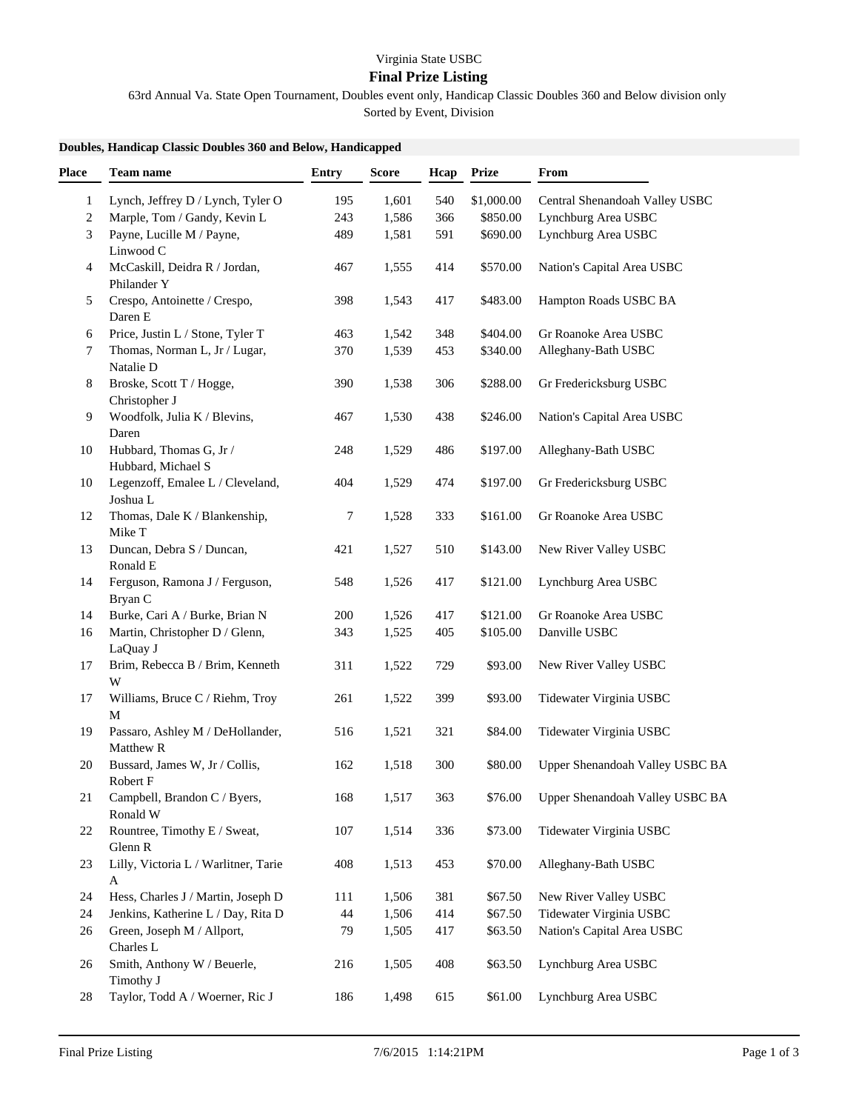## **Final Prize Listing**

63rd Annual Va. State Open Tournament, Doubles event only, Handicap Classic Doubles 360 and Below division only Sorted by Event, Division

## **Doubles, Handicap Classic Doubles 360 and Below, Handicapped**

| Place        | Team name                                     | <b>Entry</b> | <b>Score</b> | Hcap | <b>Prize</b> | From                            |
|--------------|-----------------------------------------------|--------------|--------------|------|--------------|---------------------------------|
| $\mathbf{1}$ | Lynch, Jeffrey D / Lynch, Tyler O             | 195          | 1,601        | 540  | \$1,000.00   | Central Shenandoah Valley USBC  |
| 2            | Marple, Tom / Gandy, Kevin L                  | 243          | 1,586        | 366  | \$850.00     | Lynchburg Area USBC             |
| 3            | Payne, Lucille M / Payne,<br>Linwood C        | 489          | 1,581        | 591  | \$690.00     | Lynchburg Area USBC             |
| 4            | McCaskill, Deidra R / Jordan,<br>Philander Y  | 467          | 1,555        | 414  | \$570.00     | Nation's Capital Area USBC      |
| 5            | Crespo, Antoinette / Crespo,<br>Daren E       | 398          | 1,543        | 417  | \$483.00     | Hampton Roads USBC BA           |
| 6            | Price, Justin L / Stone, Tyler T              | 463          | 1,542        | 348  | \$404.00     | Gr Roanoke Area USBC            |
| 7            | Thomas, Norman L, Jr / Lugar,<br>Natalie D    | 370          | 1,539        | 453  | \$340.00     | Alleghany-Bath USBC             |
| 8            | Broske, Scott T / Hogge,<br>Christopher J     | 390          | 1,538        | 306  | \$288.00     | Gr Fredericksburg USBC          |
| 9            | Woodfolk, Julia K / Blevins,<br>Daren         | 467          | 1,530        | 438  | \$246.00     | Nation's Capital Area USBC      |
| 10           | Hubbard, Thomas G, Jr /<br>Hubbard, Michael S | 248          | 1,529        | 486  | \$197.00     | Alleghany-Bath USBC             |
| 10           | Legenzoff, Emalee L / Cleveland,<br>Joshua L  | 404          | 1,529        | 474  | \$197.00     | Gr Fredericksburg USBC          |
| 12           | Thomas, Dale K / Blankenship,<br>Mike T       | $\tau$       | 1,528        | 333  | \$161.00     | Gr Roanoke Area USBC            |
| 13           | Duncan, Debra S / Duncan,<br>Ronald E         | 421          | 1,527        | 510  | \$143.00     | New River Valley USBC           |
| 14           | Ferguson, Ramona J / Ferguson,<br>Bryan C     | 548          | 1,526        | 417  | \$121.00     | Lynchburg Area USBC             |
| 14           | Burke, Cari A / Burke, Brian N                | 200          | 1,526        | 417  | \$121.00     | Gr Roanoke Area USBC            |
| 16           | Martin, Christopher D / Glenn,<br>LaQuay J    | 343          | 1,525        | 405  | \$105.00     | Danville USBC                   |
| 17           | Brim, Rebecca B / Brim, Kenneth<br>W          | 311          | 1,522        | 729  | \$93.00      | New River Valley USBC           |
| 17           | Williams, Bruce C / Riehm, Troy<br>М          | 261          | 1,522        | 399  | \$93.00      | Tidewater Virginia USBC         |
| 19           | Passaro, Ashley M / DeHollander,<br>Matthew R | 516          | 1,521        | 321  | \$84.00      | Tidewater Virginia USBC         |
| 20           | Bussard, James W, Jr / Collis,<br>Robert F    | 162          | 1,518        | 300  | \$80.00      | Upper Shenandoah Valley USBC BA |
| 21           | Campbell, Brandon C / Byers,<br>Ronald W      | 168          | 1,517        | 363  | \$76.00      | Upper Shenandoah Valley USBC BA |
| 22           | Rountree, Timothy E / Sweat,<br>Glenn R       | 107          | 1,514        | 336  | \$73.00      | Tidewater Virginia USBC         |
| 23           | Lilly, Victoria L / Warlitner, Tarie<br>A     | 408          | 1,513        | 453  | \$70.00      | Alleghany-Bath USBC             |
| 24           | Hess, Charles J / Martin, Joseph D            | 111          | 1,506        | 381  | \$67.50      | New River Valley USBC           |
| 24           | Jenkins, Katherine L / Day, Rita D            | 44           | 1,506        | 414  | \$67.50      | Tidewater Virginia USBC         |
| 26           | Green, Joseph M / Allport,<br>Charles L       | 79           | 1,505        | 417  | \$63.50      | Nation's Capital Area USBC      |
| 26           | Smith, Anthony W / Beuerle,<br>Timothy J      | 216          | 1,505        | 408  | \$63.50      | Lynchburg Area USBC             |
| 28           | Taylor, Todd A / Woerner, Ric J               | 186          | 1,498        | 615  | \$61.00      | Lynchburg Area USBC             |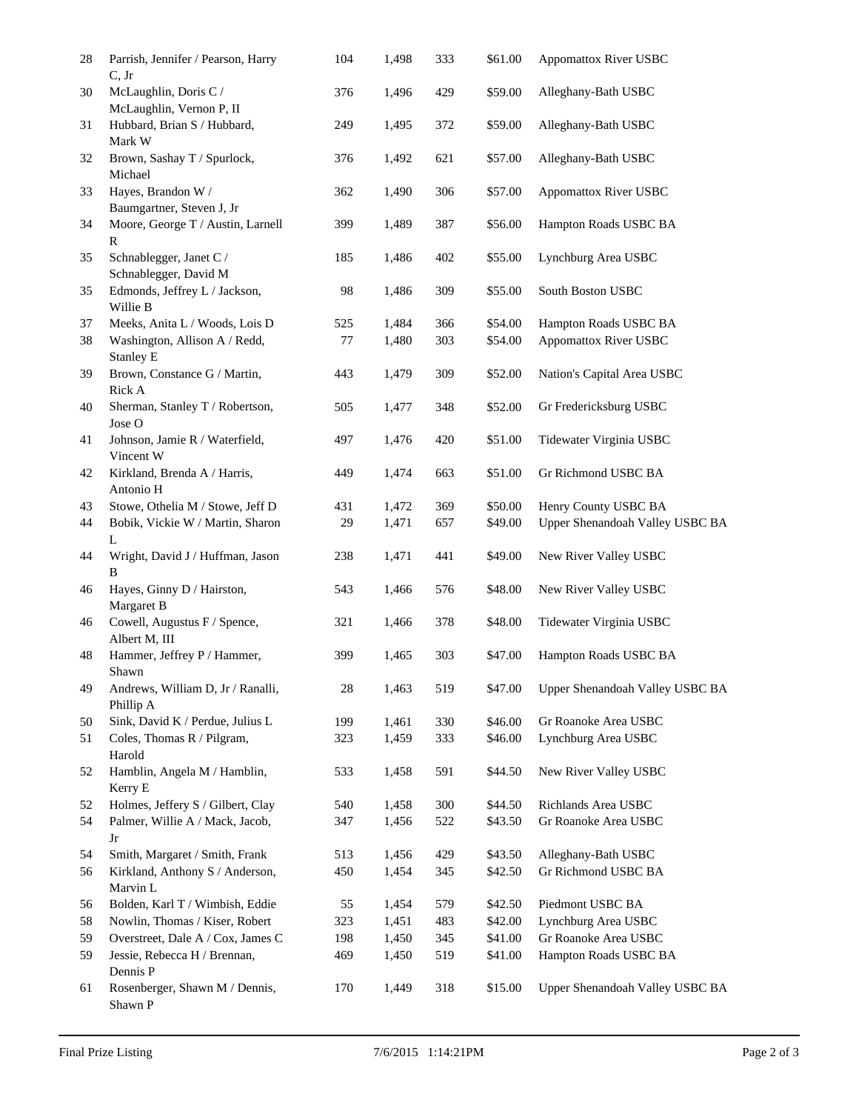| 28 | Parrish, Jennifer / Pearson, Harry<br>C, Jr       | 104 | 1,498 | 333 | \$61.00 | Appomattox River USBC                                    |
|----|---------------------------------------------------|-----|-------|-----|---------|----------------------------------------------------------|
| 30 | McLaughlin, Doris C /<br>McLaughlin, Vernon P, II | 376 | 1,496 | 429 | \$59.00 | Alleghany-Bath USBC                                      |
| 31 | Hubbard, Brian S / Hubbard,<br>Mark W             | 249 | 1,495 | 372 | \$59.00 | Alleghany-Bath USBC                                      |
| 32 | Brown, Sashay T / Spurlock,<br>Michael            | 376 | 1,492 | 621 | \$57.00 | Alleghany-Bath USBC                                      |
| 33 | Hayes, Brandon W /<br>Baumgartner, Steven J, Jr   | 362 | 1,490 | 306 | \$57.00 | <b>Appomattox River USBC</b>                             |
| 34 | Moore, George T / Austin, Larnell<br>R            | 399 | 1,489 | 387 | \$56.00 | Hampton Roads USBC BA                                    |
| 35 | Schnablegger, Janet C /<br>Schnablegger, David M  | 185 | 1,486 | 402 | \$55.00 | Lynchburg Area USBC                                      |
| 35 | Edmonds, Jeffrey L / Jackson,<br>Willie B         | 98  | 1,486 | 309 | \$55.00 | South Boston USBC                                        |
| 37 | Meeks, Anita L / Woods, Lois D                    | 525 | 1,484 | 366 | \$54.00 | Hampton Roads USBC BA                                    |
| 38 | Washington, Allison A / Redd,<br><b>Stanley E</b> | 77  | 1,480 | 303 | \$54.00 | <b>Appomattox River USBC</b>                             |
| 39 | Brown, Constance G / Martin,<br>Rick A            | 443 | 1,479 | 309 | \$52.00 | Nation's Capital Area USBC                               |
| 40 | Sherman, Stanley T / Robertson,<br>Jose O         | 505 | 1,477 | 348 | \$52.00 | Gr Fredericksburg USBC                                   |
| 41 | Johnson, Jamie R / Waterfield,<br>Vincent W       | 497 | 1,476 | 420 | \$51.00 | Tidewater Virginia USBC                                  |
| 42 | Kirkland, Brenda A / Harris,<br>Antonio H         | 449 | 1,474 | 663 | \$51.00 | Gr Richmond USBC BA                                      |
| 43 | Stowe, Othelia M / Stowe, Jeff D                  | 431 | 1,472 | 369 | \$50.00 | Henry County USBC BA                                     |
| 44 | Bobik, Vickie W / Martin, Sharon<br>L             | 29  | 1,471 | 657 | \$49.00 | Upper Shenandoah Valley USBC BA                          |
| 44 | Wright, David J / Huffman, Jason<br>B             | 238 | 1,471 | 441 | \$49.00 | New River Valley USBC                                    |
| 46 | Hayes, Ginny D / Hairston,<br>Margaret B          | 543 | 1,466 | 576 | \$48.00 | New River Valley USBC                                    |
| 46 | Cowell, Augustus F / Spence,<br>Albert M, III     | 321 | 1,466 | 378 | \$48.00 | Tidewater Virginia USBC                                  |
| 48 | Hammer, Jeffrey P / Hammer,<br>Shawn              | 399 | 1,465 | 303 | \$47.00 | Hampton Roads USBC BA                                    |
| 49 | Andrews, William D, Jr / Ranalli,<br>Phillip A    | 28  | 1,463 | 519 | \$47.00 | Upper Shenandoah Valley USBC BA                          |
| 50 | Sink, David K / Perdue, Julius L                  | 199 | 1,461 | 330 | \$46.00 | Gr Roanoke Area USBC                                     |
| 51 | Coles, Thomas R / Pilgram,<br>Harold              | 323 | 1,459 | 333 | \$46.00 | Lynchburg Area USBC                                      |
| 52 | Hamblin, Angela M / Hamblin,<br>Kerry E           | 533 | 1,458 | 591 | \$44.50 | New River Valley USBC                                    |
| 52 | Holmes, Jeffery S / Gilbert, Clay                 | 540 | 1,458 | 300 | \$44.50 | Richlands Area USBC                                      |
| 54 | Palmer, Willie A / Mack, Jacob,<br>Jr             | 347 | 1,456 | 522 | \$43.50 | Gr Roanoke Area USBC                                     |
| 54 | Smith, Margaret / Smith, Frank                    | 513 | 1,456 | 429 | \$43.50 | Alleghany-Bath USBC                                      |
| 56 | Kirkland, Anthony S / Anderson,<br>Marvin L       | 450 | 1,454 | 345 | \$42.50 | Gr Richmond USBC BA                                      |
| 56 | Bolden, Karl T / Wimbish, Eddie                   | 55  | 1,454 | 579 | \$42.50 | Piedmont USBC BA                                         |
| 58 | Nowlin, Thomas / Kiser, Robert                    | 323 | 1,451 | 483 | \$42.00 | Lynchburg Area USBC                                      |
| 59 | Overstreet, Dale A / Cox, James C                 | 198 | 1,450 | 345 | \$41.00 | Gr Roanoke Area USBC                                     |
| 59 | Jessie, Rebecca H / Brennan,<br>Dennis P          | 469 | 1,450 | 519 | \$41.00 | Hampton Roads USBC BA<br>Upper Shenandoah Valley USBC BA |
| 61 | Rosenberger, Shawn M / Dennis,<br>Shawn P         | 170 | 1,449 | 318 | \$15.00 |                                                          |